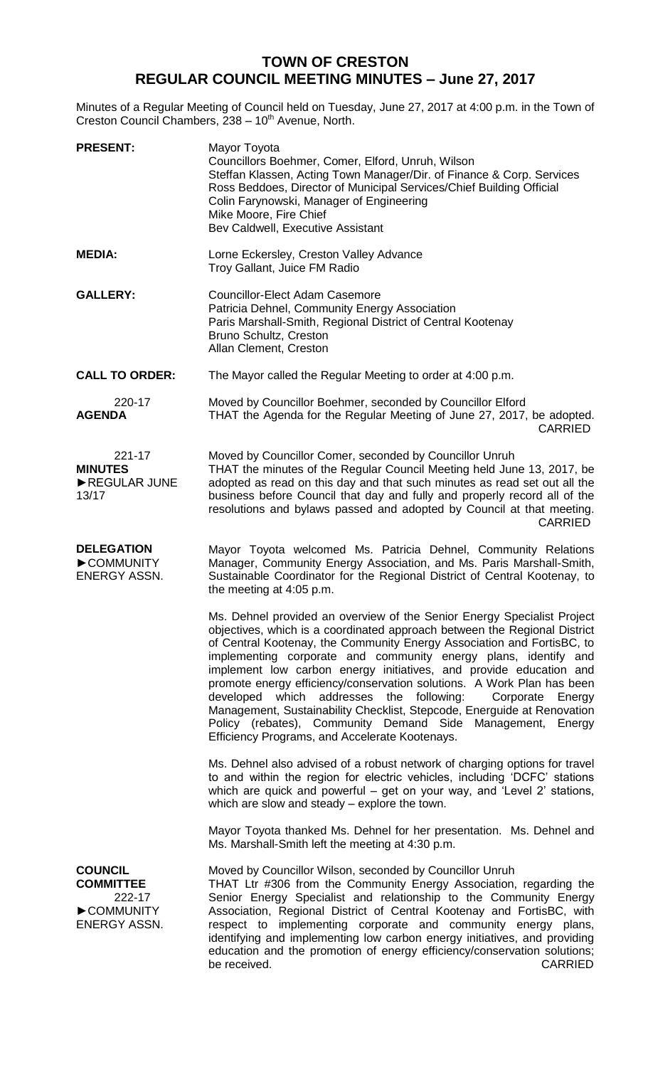## **TOWN OF CRESTON REGULAR COUNCIL MEETING MINUTES – June 27, 2017**

Minutes of a Regular Meeting of Council held on Tuesday, June 27, 2017 at 4:00 p.m. in the Town of Creston Council Chambers, 238 - 10<sup>th</sup> Avenue, North.

| <b>PRESENT:</b>                                                           | Mayor Toyota<br>Councillors Boehmer, Comer, Elford, Unruh, Wilson<br>Steffan Klassen, Acting Town Manager/Dir. of Finance & Corp. Services<br>Ross Beddoes, Director of Municipal Services/Chief Building Official<br>Colin Farynowski, Manager of Engineering<br>Mike Moore, Fire Chief<br>Bev Caldwell, Executive Assistant                                                                                                                                                                                                                                                                                                                                                                                   |
|---------------------------------------------------------------------------|-----------------------------------------------------------------------------------------------------------------------------------------------------------------------------------------------------------------------------------------------------------------------------------------------------------------------------------------------------------------------------------------------------------------------------------------------------------------------------------------------------------------------------------------------------------------------------------------------------------------------------------------------------------------------------------------------------------------|
| <b>MEDIA:</b>                                                             | Lorne Eckersley, Creston Valley Advance<br>Troy Gallant, Juice FM Radio                                                                                                                                                                                                                                                                                                                                                                                                                                                                                                                                                                                                                                         |
| <b>GALLERY:</b>                                                           | <b>Councillor-Elect Adam Casemore</b><br>Patricia Dehnel, Community Energy Association<br>Paris Marshall-Smith, Regional District of Central Kootenay<br>Bruno Schultz, Creston<br>Allan Clement, Creston                                                                                                                                                                                                                                                                                                                                                                                                                                                                                                       |
| <b>CALL TO ORDER:</b>                                                     | The Mayor called the Regular Meeting to order at 4:00 p.m.                                                                                                                                                                                                                                                                                                                                                                                                                                                                                                                                                                                                                                                      |
| 220-17<br><b>AGENDA</b>                                                   | Moved by Councillor Boehmer, seconded by Councillor Elford<br>THAT the Agenda for the Regular Meeting of June 27, 2017, be adopted.<br><b>CARRIED</b>                                                                                                                                                                                                                                                                                                                                                                                                                                                                                                                                                           |
| 221-17<br><b>MINUTES</b><br>REGULAR JUNE<br>13/17                         | Moved by Councillor Comer, seconded by Councillor Unruh<br>THAT the minutes of the Regular Council Meeting held June 13, 2017, be<br>adopted as read on this day and that such minutes as read set out all the<br>business before Council that day and fully and properly record all of the<br>resolutions and bylaws passed and adopted by Council at that meeting.<br><b>CARRIED</b>                                                                                                                                                                                                                                                                                                                          |
| <b>DELEGATION</b><br>COMMUNITY<br>ENERGY ASSN.                            | Mayor Toyota welcomed Ms. Patricia Dehnel, Community Relations<br>Manager, Community Energy Association, and Ms. Paris Marshall-Smith,<br>Sustainable Coordinator for the Regional District of Central Kootenay, to<br>the meeting at 4:05 p.m.                                                                                                                                                                                                                                                                                                                                                                                                                                                                 |
|                                                                           | Ms. Dehnel provided an overview of the Senior Energy Specialist Project<br>objectives, which is a coordinated approach between the Regional District<br>of Central Kootenay, the Community Energy Association and FortisBC, to<br>implementing corporate and community energy plans, identify and<br>implement low carbon energy initiatives, and provide education and<br>promote energy efficiency/conservation solutions. A Work Plan has been<br>developed which addresses the following:<br>Corporate<br>Energy<br>Management, Sustainability Checklist, Stepcode, Energuide at Renovation<br>Policy (rebates), Community Demand Side Management, Energy<br>Efficiency Programs, and Accelerate Kootenays. |
|                                                                           | Ms. Dehnel also advised of a robust network of charging options for travel<br>to and within the region for electric vehicles, including 'DCFC' stations<br>which are quick and powerful – get on your way, and 'Level 2' stations,<br>which are slow and steady – explore the town.                                                                                                                                                                                                                                                                                                                                                                                                                             |
|                                                                           | Mayor Toyota thanked Ms. Dehnel for her presentation. Ms. Dehnel and<br>Ms. Marshall-Smith left the meeting at 4:30 p.m.                                                                                                                                                                                                                                                                                                                                                                                                                                                                                                                                                                                        |
| <b>COUNCIL</b><br><b>COMMITTEE</b><br>222-17<br>COMMUNITY<br>ENERGY ASSN. | Moved by Councillor Wilson, seconded by Councillor Unruh<br>THAT Ltr #306 from the Community Energy Association, regarding the<br>Senior Energy Specialist and relationship to the Community Energy<br>Association, Regional District of Central Kootenay and FortisBC, with<br>respect to implementing corporate and community energy plans,<br>identifying and implementing low carbon energy initiatives, and providing<br>education and the promotion of energy efficiency/conservation solutions;<br>be received.<br>CARRIED                                                                                                                                                                               |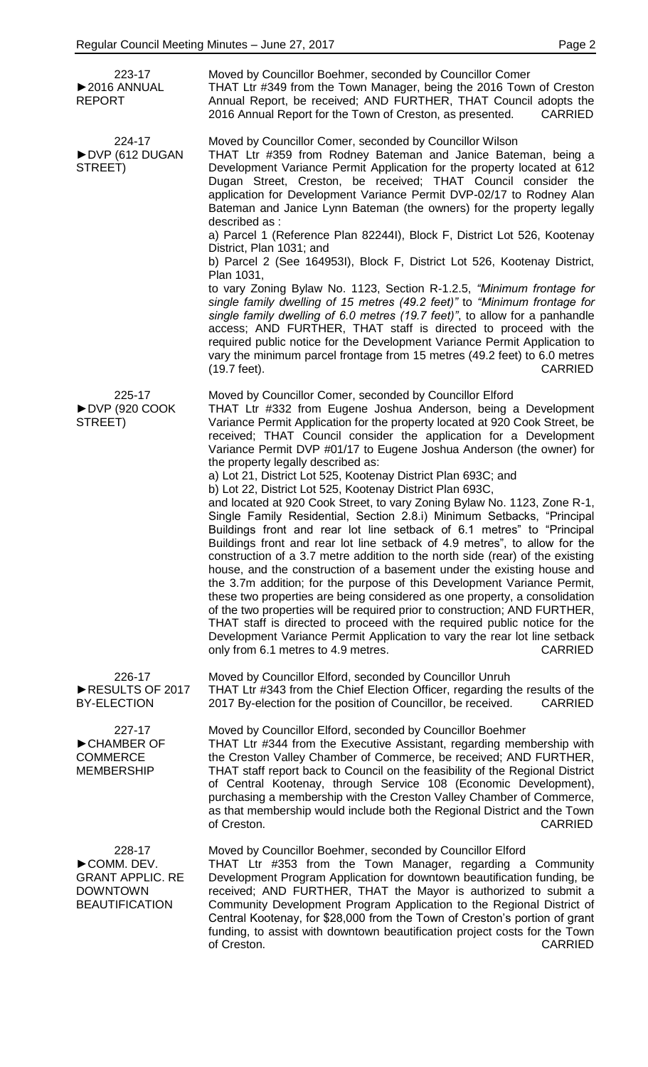| 223-17<br>$\triangleright$ 2016 ANNUAL<br><b>REPORT</b>                                     | Moved by Councillor Boehmer, seconded by Councillor Comer<br>THAT Ltr #349 from the Town Manager, being the 2016 Town of Creston<br>Annual Report, be received; AND FURTHER, THAT Council adopts the<br>2016 Annual Report for the Town of Creston, as presented.<br><b>CARRIED</b>                                                                                                                                                                                                                                                                                                                                                                                                                                                                                                                                                                                                                                                                                                                                                                                                                                                                                                                                                                                                                                                                                                                  |
|---------------------------------------------------------------------------------------------|------------------------------------------------------------------------------------------------------------------------------------------------------------------------------------------------------------------------------------------------------------------------------------------------------------------------------------------------------------------------------------------------------------------------------------------------------------------------------------------------------------------------------------------------------------------------------------------------------------------------------------------------------------------------------------------------------------------------------------------------------------------------------------------------------------------------------------------------------------------------------------------------------------------------------------------------------------------------------------------------------------------------------------------------------------------------------------------------------------------------------------------------------------------------------------------------------------------------------------------------------------------------------------------------------------------------------------------------------------------------------------------------------|
| 224-17<br>DVP (612 DUGAN<br>STREET)                                                         | Moved by Councillor Comer, seconded by Councillor Wilson<br>THAT Ltr #359 from Rodney Bateman and Janice Bateman, being a<br>Development Variance Permit Application for the property located at 612<br>Dugan Street, Creston, be received; THAT Council consider the<br>application for Development Variance Permit DVP-02/17 to Rodney Alan<br>Bateman and Janice Lynn Bateman (the owners) for the property legally<br>described as :                                                                                                                                                                                                                                                                                                                                                                                                                                                                                                                                                                                                                                                                                                                                                                                                                                                                                                                                                             |
|                                                                                             | a) Parcel 1 (Reference Plan 82244I), Block F, District Lot 526, Kootenay<br>District, Plan 1031; and                                                                                                                                                                                                                                                                                                                                                                                                                                                                                                                                                                                                                                                                                                                                                                                                                                                                                                                                                                                                                                                                                                                                                                                                                                                                                                 |
|                                                                                             | b) Parcel 2 (See 164953I), Block F, District Lot 526, Kootenay District,<br>Plan 1031,<br>to vary Zoning Bylaw No. 1123, Section R-1.2.5, "Minimum frontage for<br>single family dwelling of 15 metres (49.2 feet)" to "Minimum frontage for<br>single family dwelling of 6.0 metres (19.7 feet)", to allow for a panhandle<br>access; AND FURTHER, THAT staff is directed to proceed with the<br>required public notice for the Development Variance Permit Application to<br>vary the minimum parcel frontage from 15 metres (49.2 feet) to 6.0 metres                                                                                                                                                                                                                                                                                                                                                                                                                                                                                                                                                                                                                                                                                                                                                                                                                                             |
|                                                                                             | (19.7 feet).<br><b>CARRIED</b>                                                                                                                                                                                                                                                                                                                                                                                                                                                                                                                                                                                                                                                                                                                                                                                                                                                                                                                                                                                                                                                                                                                                                                                                                                                                                                                                                                       |
| 225-17<br>DVP (920 COOK<br>STREET)                                                          | Moved by Councillor Comer, seconded by Councillor Elford<br>THAT Ltr #332 from Eugene Joshua Anderson, being a Development<br>Variance Permit Application for the property located at 920 Cook Street, be<br>received; THAT Council consider the application for a Development<br>Variance Permit DVP #01/17 to Eugene Joshua Anderson (the owner) for<br>the property legally described as:<br>a) Lot 21, District Lot 525, Kootenay District Plan 693C; and<br>b) Lot 22, District Lot 525, Kootenay District Plan 693C,<br>and located at 920 Cook Street, to vary Zoning Bylaw No. 1123, Zone R-1,<br>Single Family Residential, Section 2.8.i) Minimum Setbacks, "Principal<br>Buildings front and rear lot line setback of 6.1 metres" to "Principal<br>Buildings front and rear lot line setback of 4.9 metres", to allow for the<br>construction of a 3.7 metre addition to the north side (rear) of the existing<br>house, and the construction of a basement under the existing house and<br>the 3.7m addition; for the purpose of this Development Variance Permit,<br>these two properties are being considered as one property, a consolidation<br>of the two properties will be required prior to construction; AND FURTHER,<br>THAT staff is directed to proceed with the required public notice for the<br>Development Variance Permit Application to vary the rear lot line setback |
| 226-17<br>RESULTS OF 2017                                                                   | only from 6.1 metres to 4.9 metres.<br><b>CARRIED</b><br>Moved by Councillor Elford, seconded by Councillor Unruh<br>THAT Ltr #343 from the Chief Election Officer, regarding the results of the                                                                                                                                                                                                                                                                                                                                                                                                                                                                                                                                                                                                                                                                                                                                                                                                                                                                                                                                                                                                                                                                                                                                                                                                     |
| <b>BY-ELECTION</b>                                                                          | 2017 By-election for the position of Councillor, be received.<br><b>CARRIED</b>                                                                                                                                                                                                                                                                                                                                                                                                                                                                                                                                                                                                                                                                                                                                                                                                                                                                                                                                                                                                                                                                                                                                                                                                                                                                                                                      |
| 227-17<br>CHAMBER OF<br><b>COMMERCE</b><br><b>MEMBERSHIP</b>                                | Moved by Councillor Elford, seconded by Councillor Boehmer<br>THAT Ltr #344 from the Executive Assistant, regarding membership with<br>the Creston Valley Chamber of Commerce, be received; AND FURTHER,<br>THAT staff report back to Council on the feasibility of the Regional District<br>of Central Kootenay, through Service 108 (Economic Development),<br>purchasing a membership with the Creston Valley Chamber of Commerce,<br>as that membership would include both the Regional District and the Town<br>of Creston.<br><b>CARRIED</b>                                                                                                                                                                                                                                                                                                                                                                                                                                                                                                                                                                                                                                                                                                                                                                                                                                                   |
| 228-17<br>COMM. DEV.<br><b>GRANT APPLIC. RE</b><br><b>DOWNTOWN</b><br><b>BEAUTIFICATION</b> | Moved by Councillor Boehmer, seconded by Councillor Elford<br>THAT Ltr #353 from the Town Manager, regarding a Community<br>Development Program Application for downtown beautification funding, be<br>received; AND FURTHER, THAT the Mayor is authorized to submit a<br>Community Development Program Application to the Regional District of<br>Central Kootenay, for \$28,000 from the Town of Creston's portion of grant<br>funding, to assist with downtown beautification project costs for the Town<br><b>CARRIED</b><br>of Creston.                                                                                                                                                                                                                                                                                                                                                                                                                                                                                                                                                                                                                                                                                                                                                                                                                                                         |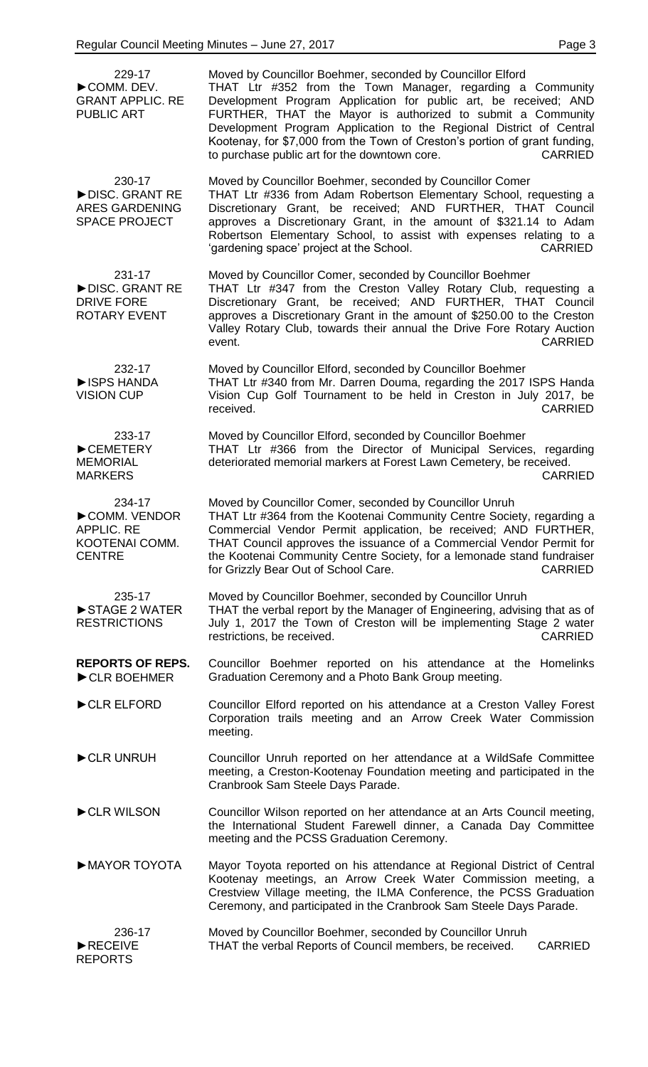| 229-17<br>COMM. DEV.<br><b>GRANT APPLIC. RE</b><br><b>PUBLIC ART</b>           | Moved by Councillor Boehmer, seconded by Councillor Elford<br>THAT Ltr #352 from the Town Manager, regarding a Community<br>Development Program Application for public art, be received; AND<br>FURTHER, THAT the Mayor is authorized to submit a Community<br>Development Program Application to the Regional District of Central<br>Kootenay, for \$7,000 from the Town of Creston's portion of grant funding,<br>to purchase public art for the downtown core.<br><b>CARRIED</b> |
|--------------------------------------------------------------------------------|-------------------------------------------------------------------------------------------------------------------------------------------------------------------------------------------------------------------------------------------------------------------------------------------------------------------------------------------------------------------------------------------------------------------------------------------------------------------------------------|
| 230-17<br>DISC. GRANT RE<br><b>ARES GARDENING</b><br><b>SPACE PROJECT</b>      | Moved by Councillor Boehmer, seconded by Councillor Comer<br>THAT Ltr #336 from Adam Robertson Elementary School, requesting a<br>Discretionary Grant, be received; AND FURTHER, THAT Council<br>approves a Discretionary Grant, in the amount of \$321.14 to Adam<br>Robertson Elementary School, to assist with expenses relating to a<br><b>CARRIED</b><br>'gardening space' project at the School.                                                                              |
| 231-17<br>DISC. GRANT RE<br><b>DRIVE FORE</b><br><b>ROTARY EVENT</b>           | Moved by Councillor Comer, seconded by Councillor Boehmer<br>THAT Ltr #347 from the Creston Valley Rotary Club, requesting a<br>Discretionary Grant, be received; AND FURTHER, THAT Council<br>approves a Discretionary Grant in the amount of \$250.00 to the Creston<br>Valley Rotary Club, towards their annual the Drive Fore Rotary Auction<br><b>CARRIED</b><br>event.                                                                                                        |
| 232-17<br><b>EISPS HANDA</b><br><b>VISION CUP</b>                              | Moved by Councillor Elford, seconded by Councillor Boehmer<br>THAT Ltr #340 from Mr. Darren Douma, regarding the 2017 ISPS Handa<br>Vision Cup Golf Tournament to be held in Creston in July 2017, be<br><b>CARRIED</b><br>received.                                                                                                                                                                                                                                                |
| 233-17<br>CEMETERY<br><b>MEMORIAL</b><br><b>MARKERS</b>                        | Moved by Councillor Elford, seconded by Councillor Boehmer<br>THAT Ltr #366 from the Director of Municipal Services, regarding<br>deteriorated memorial markers at Forest Lawn Cemetery, be received.<br><b>CARRIED</b>                                                                                                                                                                                                                                                             |
| 234-17<br>COMM. VENDOR<br><b>APPLIC. RE</b><br>KOOTENAI COMM.<br><b>CENTRE</b> | Moved by Councillor Comer, seconded by Councillor Unruh<br>THAT Ltr #364 from the Kootenai Community Centre Society, regarding a<br>Commercial Vendor Permit application, be received; AND FURTHER,<br>THAT Council approves the issuance of a Commercial Vendor Permit for<br>the Kootenai Community Centre Society, for a lemonade stand fundraiser<br>for Grizzly Bear Out of School Care.<br><b>CARRIED</b>                                                                     |
| 235-17<br>STAGE 2 WATER<br><b>RESTRICTIONS</b>                                 | Moved by Councillor Boehmer, seconded by Councillor Unruh<br>THAT the verbal report by the Manager of Engineering, advising that as of<br>July 1, 2017 the Town of Creston will be implementing Stage 2 water<br>restrictions, be received.<br><b>CARRIED</b>                                                                                                                                                                                                                       |
| <b>REPORTS OF REPS.</b><br>CLR BOEHMER                                         | Councillor Boehmer reported on his attendance at the Homelinks<br>Graduation Ceremony and a Photo Bank Group meeting.                                                                                                                                                                                                                                                                                                                                                               |
| CLR ELFORD                                                                     | Councillor Elford reported on his attendance at a Creston Valley Forest<br>Corporation trails meeting and an Arrow Creek Water Commission<br>meeting.                                                                                                                                                                                                                                                                                                                               |
| CLR UNRUH                                                                      | Councillor Unruh reported on her attendance at a WildSafe Committee<br>meeting, a Creston-Kootenay Foundation meeting and participated in the<br>Cranbrook Sam Steele Days Parade.                                                                                                                                                                                                                                                                                                  |
| CLR WILSON                                                                     | Councillor Wilson reported on her attendance at an Arts Council meeting,<br>the International Student Farewell dinner, a Canada Day Committee<br>meeting and the PCSS Graduation Ceremony.                                                                                                                                                                                                                                                                                          |
| MAYOR TOYOTA                                                                   | Mayor Toyota reported on his attendance at Regional District of Central<br>Kootenay meetings, an Arrow Creek Water Commission meeting, a<br>Crestview Village meeting, the ILMA Conference, the PCSS Graduation<br>Ceremony, and participated in the Cranbrook Sam Steele Days Parade.                                                                                                                                                                                              |
| 236-17<br>RECEIVE<br><b>REPORTS</b>                                            | Moved by Councillor Boehmer, seconded by Councillor Unruh<br>THAT the verbal Reports of Council members, be received.<br><b>CARRIED</b>                                                                                                                                                                                                                                                                                                                                             |